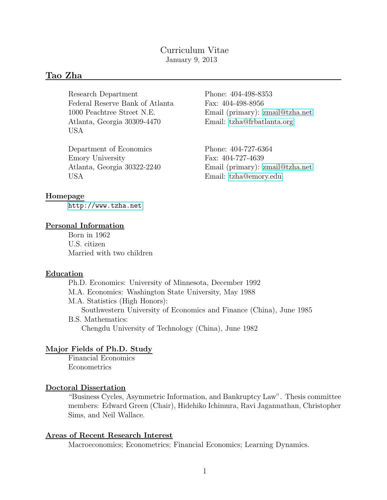## Curriculum Vitae January 9, 2013

# Tao Zha

Research Department Phone: 404-498-8353 Federal Reserve Bank of Atlanta Fax: 404-498-8956 Atlanta, Georgia 30309-4470 Email: [tzha@frbatlanta.org](mailto:tzha@frbatlanta.org) USA

Department of Economics Phone: 404-727-6364 Emory University Fax: 404-727-4639 USA Email: [tzha@emory.edu](mailto:tzha@emory.edu)

1000 Peachtree Street N.E. Email (primary): [zmail@tzha.net](mailto:zmail@tzha.net)

Atlanta, Georgia 30322-2240 Email (primary): [zmail@tzha.net](mailto:zmail@tzha.net)

## Homepage

<http://www.tzha.net>

## Personal Information

Born in 1962 U.S. citizen Married with two children

## **Education**

Ph.D. Economics: University of Minnesota, December 1992 M.A. Economics: Washington State University, May 1988 M.A. Statistics (High Honors): Southwestern University of Economics and Finance (China), June 1985 B.S. Mathematics: Chengdu University of Technology (China), June 1982

## Major Fields of Ph.D. Study

Financial Economics Econometrics

## Doctoral Dissertation

"Business Cycles, Asymmetric Information, and Bankruptcy Law". Thesis committee members: Edward Green (Chair), Hidehiko Ichimura, Ravi Jagannathan, Christopher Sims, and Neil Wallace.

## Areas of Recent Research Interest

Macroeconomics; Econometrics; Financial Economics; Learning Dynamics.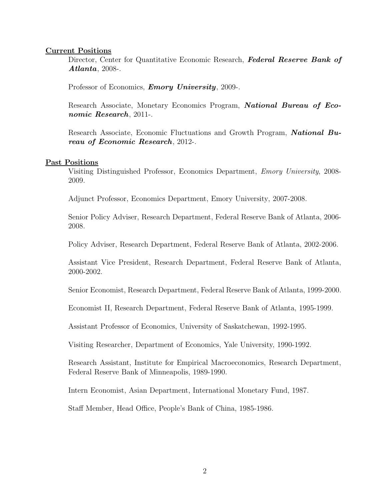### Current Positions

Director, Center for Quantitative Economic Research, Federal Reserve Bank of Atlanta, 2008-.

Professor of Economics, *Emory University*, 2009-.

Research Associate, Monetary Economics Program, **National Bureau of Eco**nomic Research, 2011-.

Research Associate, Economic Fluctuations and Growth Program, **National Bu**reau of Economic Research, 2012-.

#### Past Positions

Visiting Distinguished Professor, Economics Department, Emory University, 2008- 2009.

Adjunct Professor, Economics Department, Emory University, 2007-2008.

Senior Policy Adviser, Research Department, Federal Reserve Bank of Atlanta, 2006- 2008.

Policy Adviser, Research Department, Federal Reserve Bank of Atlanta, 2002-2006.

Assistant Vice President, Research Department, Federal Reserve Bank of Atlanta, 2000-2002.

Senior Economist, Research Department, Federal Reserve Bank of Atlanta, 1999-2000.

Economist II, Research Department, Federal Reserve Bank of Atlanta, 1995-1999.

Assistant Professor of Economics, University of Saskatchewan, 1992-1995.

Visiting Researcher, Department of Economics, Yale University, 1990-1992.

Research Assistant, Institute for Empirical Macroeconomics, Research Department, Federal Reserve Bank of Minneapolis, 1989-1990.

Intern Economist, Asian Department, International Monetary Fund, 1987.

Staff Member, Head Office, People's Bank of China, 1985-1986.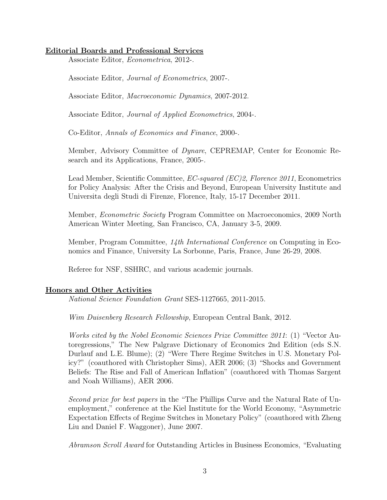## Editorial Boards and Professional Services

Associate Editor, Econometrica, 2012-.

Associate Editor, Journal of Econometrics, 2007-.

Associate Editor, Macroeconomic Dynamics, 2007-2012.

Associate Editor, Journal of Applied Econometrics, 2004-.

Co-Editor, Annals of Economics and Finance, 2000-.

Member, Advisory Committee of Dynare, CEPREMAP, Center for Economic Research and its Applications, France, 2005-.

Lead Member, Scientific Committee, *EC-squared (EC)2, Florence 2011*, Econometrics for Policy Analysis: After the Crisis and Beyond, European University Institute and Universita degli Studi di Firenze, Florence, Italy, 15-17 December 2011.

Member, *Econometric Society* Program Committee on Macroeconomics, 2009 North American Winter Meeting, San Francisco, CA, January 3-5, 2009.

Member, Program Committee, 14th International Conference on Computing in Economics and Finance, University La Sorbonne, Paris, France, June 26-29, 2008.

Referee for NSF, SSHRC, and various academic journals.

## Honors and Other Activities

National Science Foundation Grant SES-1127665, 2011-2015.

Wim Duisenberg Research Fellowship, European Central Bank, 2012.

Works cited by the Nobel Economic Sciences Prize Committee 2011: (1) "Vector Autoregressions," The New Palgrave Dictionary of Economics 2nd Edition (eds S.N. Durlauf and L.E. Blume); (2) "Were There Regime Switches in U.S. Monetary Policy?" (coauthored with Christopher Sims), AER 2006; (3) "Shocks and Government Beliefs: The Rise and Fall of American Inflation" (coauthored with Thomas Sargent and Noah Williams), AER 2006.

Second prize for best papers in the "The Phillips Curve and the Natural Rate of Unemployment," conference at the Kiel Institute for the World Economy, "Asymmetric Expectation Effects of Regime Switches in Monetary Policy" (coauthored with Zheng Liu and Daniel F. Waggoner), June 2007.

Abramson Scroll Award for Outstanding Articles in Business Economics, "Evaluating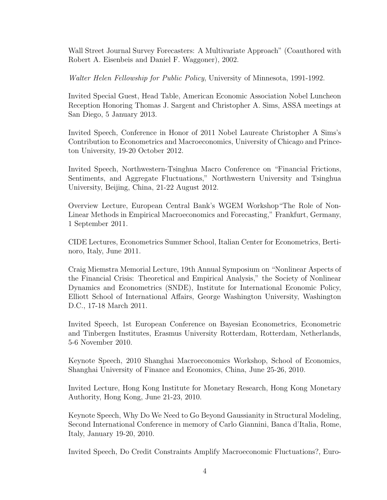Wall Street Journal Survey Forecasters: A Multivariate Approach" (Coauthored with Robert A. Eisenbeis and Daniel F. Waggoner), 2002.

Walter Helen Fellowship for Public Policy, University of Minnesota, 1991-1992.

Invited Special Guest, Head Table, American Economic Association Nobel Luncheon Reception Honoring Thomas J. Sargent and Christopher A. Sims, ASSA meetings at San Diego, 5 January 2013.

Invited Speech, Conference in Honor of 2011 Nobel Laureate Christopher A Sims's Contribution to Econometrics and Macroeconomics, University of Chicago and Princeton University, 19-20 October 2012.

Invited Speech, Northwestern-Tsinghua Macro Conference on "Financial Frictions, Sentiments, and Aggregate Fluctuations," Northwestern University and Tsinghua University, Beijing, China, 21-22 August 2012.

Overview Lecture, European Central Bank's WGEM Workshop"The Role of Non-Linear Methods in Empirical Macroeconomics and Forecasting," Frankfurt, Germany, 1 September 2011.

CIDE Lectures, Econometrics Summer School, Italian Center for Econometrics, Bertinoro, Italy, June 2011.

Craig Miemstra Memorial Lecture, 19th Annual Symposium on "Nonlinear Aspects of the Financial Crisis: Theoretical and Empirical Analysis," the Society of Nonlinear Dynamics and Econometrics (SNDE), Institute for International Economic Policy, Elliott School of International Affairs, George Washington University, Washington D.C., 17-18 March 2011.

Invited Speech, 1st European Conference on Bayesian Econometrics, Econometric and Tinbergen Institutes, Erasmus University Rotterdam, Rotterdam, Netherlands, 5-6 November 2010.

Keynote Speech, 2010 Shanghai Macroeconomics Workshop, School of Economics, Shanghai University of Finance and Economics, China, June 25-26, 2010.

Invited Lecture, Hong Kong Institute for Monetary Research, Hong Kong Monetary Authority, Hong Kong, June 21-23, 2010.

Keynote Speech, Why Do We Need to Go Beyond Gaussianity in Structural Modeling, Second International Conference in memory of Carlo Giannini, Banca d'Italia, Rome, Italy, January 19-20, 2010.

Invited Speech, Do Credit Constraints Amplify Macroeconomic Fluctuations?, Euro-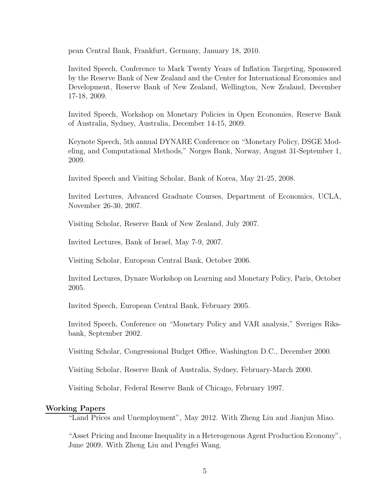pean Central Bank, Frankfurt, Germany, January 18, 2010.

Invited Speech, Conference to Mark Twenty Years of Inflation Targeting, Sponsored by the Reserve Bank of New Zealand and the Center for International Economics and Development, Reserve Bank of New Zealand, Wellington, New Zealand, December 17-18, 2009.

Invited Speech, Workshop on Monetary Policies in Open Economies, Reserve Bank of Australia, Sydney, Australia, December 14-15, 2009.

Keynote Speech, 5th annual DYNARE Conference on "Monetary Policy, DSGE Modeling, and Computational Methods," Norges Bank, Norway, August 31-September 1, 2009.

Invited Speech and Visiting Scholar, Bank of Korea, May 21-25, 2008.

Invited Lectures, Advanced Graduate Courses, Department of Economics, UCLA, November 26-30, 2007.

Visiting Scholar, Reserve Bank of New Zealand, July 2007.

Invited Lectures, Bank of Israel, May 7-9, 2007.

Visiting Scholar, European Central Bank, October 2006.

Invited Lectures, Dynare Workshop on Learning and Monetary Policy, Paris, October 2005.

Invited Speech, European Central Bank, February 2005.

Invited Speech, Conference on "Monetary Policy and VAR analysis," Sveriges Riksbank, September 2002.

Visiting Scholar, Congressional Budget Office, Washington D.C., December 2000.

Visiting Scholar, Reserve Bank of Australia, Sydney, February-March 2000.

Visiting Scholar, Federal Reserve Bank of Chicago, February 1997.

#### Working Papers

"Land Prices and Unemployment", May 2012. With Zheng Liu and Jianjun Miao.

"Asset Pricing and Income Inequality in a Heterogenous Agent Production Economy", June 2009. With Zheng Liu and Pengfei Wang.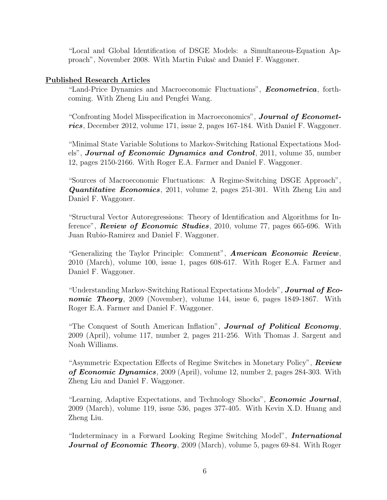"Local and Global Identification of DSGE Models: a Simultaneous-Equation Approach", November 2008. With Martin Fukač and Daniel F. Waggoner.

## Published Research Articles

"Land-Price Dynamics and Macroeconomic Fluctuations", **Econometrica**, forthcoming. With Zheng Liu and Pengfei Wang.

"Confronting Model Misspecification in Macroeconomics", **Journal of Economet**rics, December 2012, volume 171, issue 2, pages 167-184. With Daniel F. Waggoner.

"Minimal State Variable Solutions to Markov-Switching Rational Expectations Models", **Journal of Economic Dynamics and Control**, 2011, volume 35, number 12, pages 2150-2166. With Roger E.A. Farmer and Daniel F. Waggoner.

"Sources of Macroeconomic Fluctuations: A Regime-Switching DSGE Approach", **Quantitative Economics**, 2011, volume 2, pages 251-301. With Zheng Liu and Daniel F. Waggoner.

"Structural Vector Autoregressions: Theory of Identification and Algorithms for Inference", **Review of Economic Studies**, 2010, volume 77, pages 665-696. With Juan Rubio-Ramirez and Daniel F. Waggoner.

"Generalizing the Taylor Principle: Comment", **American Economic Review**, 2010 (March), volume 100, issue 1, pages 608-617. With Roger E.A. Farmer and Daniel F. Waggoner.

"Understanding Markov-Switching Rational Expectations Models", **Journal of Eco**nomic Theory, 2009 (November), volume 144, issue 6, pages 1849-1867. With Roger E.A. Farmer and Daniel F. Waggoner.

"The Conquest of South American Inflation", **Journal of Political Economy**, 2009 (April), volume 117, number 2, pages 211-256. With Thomas J. Sargent and Noah Williams.

"Asymmetric Expectation Effects of Regime Switches in Monetary Policy", Review of Economic Dynamics, 2009 (April), volume 12, number 2, pages 284-303. With Zheng Liu and Daniel F. Waggoner.

"Learning, Adaptive Expectations, and Technology Shocks", *Economic Journal*, 2009 (March), volume 119, issue 536, pages 377-405. With Kevin X.D. Huang and Zheng Liu.

"Indeterminacy in a Forward Looking Regime Switching Model", International Journal of Economic Theory, 2009 (March), volume 5, pages 69-84. With Roger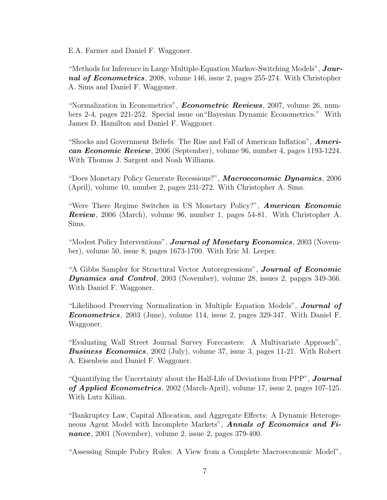E.A. Farmer and Daniel F. Waggoner.

"Methods for Inference in Large Multiple-Equation Markov-Switching Models",  $Jour$ nal of Econometrics, 2008, volume 146, issue 2, pages 255-274. With Christopher A. Sims and Daniel F. Waggoner.

"Normalization in Econometrics", **Econometric Reviews**, 2007, volume 26, numbers 2-4, pages 221-252. Special issue on"Bayesian Dynamic Econometrics." With James D. Hamilton and Daniel F. Waggoner.

"Shocks and Government Beliefs: The Rise and Fall of American Inflation", **Ameri**can Economic Review, 2006 (September), volume 96, number 4, pages 1193-1224. With Thomas J. Sargent and Noah Williams.

"Does Monetary Policy Generate Recessions?", Macroeconomic Dynamics, 2006 (April), volume 10, number 2, pages 231-272. With Christopher A. Sims.

"Were There Regime Switches in US Monetary Policy?", American Economic Review, 2006 (March), volume 96, number 1, pages 54-81. With Christopher A. Sims.

"Modest Policy Interventions", **Journal of Monetary Economics**, 2003 (November), volume 50, issue 8, pages 1673-1700. With Eric M. Leeper.

"A Gibbs Sampler for Structural Vector Autoregressions", **Journal of Economic** Dynamics and Control, 2003 (November), volume 28, issues 2, papges 349-366. With Daniel F. Waggoner.

"Likelihood Preserving Normalization in Multiple Equation Models", Journal of Econometrics, 2003 (June), volume 114, issue 2, pages 329-347. With Daniel F. Waggoner.

"Evaluating Wall Street Journal Survey Forecasters: A Multivariate Approach", **Business Economics**, 2002 (July), volume 37, issue 3, pages 11-21. With Robert A. Eisenbeis and Daniel F. Waggoner.

"Quantifying the Uncertainty about the Half-Life of Deviations from PPP", **Journal** of Applied Econometrics, 2002 (March-April), volume 17, issue 2, pages 107-125. With Lutz Kilian.

"Bankruptcy Law, Capital Allocation, and Aggregate Effects: A Dynamic Heterogeneous Agent Model with Incomplete Markets", **Annals of Economics and Fi**nance, 2001 (November), volume 2, issue 2, pages 379-400.

"Assessing Simple Policy Rules: A View from a Complete Macroeconomic Model",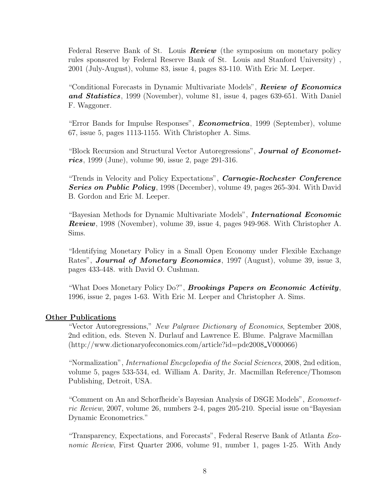Federal Reserve Bank of St. Louis **Review** (the symposium on monetary policy rules sponsored by Federal Reserve Bank of St. Louis and Stanford University) , 2001 (July-August), volume 83, issue 4, pages 83-110. With Eric M. Leeper.

"Conditional Forecasts in Dynamic Multivariate Models", **Review of Economics** and Statistics, 1999 (November), volume 81, issue 4, pages 639-651. With Daniel F. Waggoner.

"Error Bands for Impulse Responses", **Econometrica**, 1999 (September), volume 67, issue 5, pages 1113-1155. With Christopher A. Sims.

"Block Recursion and Structural Vector Autoregressions", **Journal of Economet**rics, 1999 (June), volume 90, issue 2, page  $291-316$ .

"Trends in Velocity and Policy Expectations", Carnegie-Rochester Conference Series on Public Policy, 1998 (December), volume 49, pages 265-304. With David B. Gordon and Eric M. Leeper.

"Bayesian Methods for Dynamic Multivariate Models", *International Economic* Review, 1998 (November), volume 39, issue 4, pages 949-968. With Christopher A. Sims.

"Identifying Monetary Policy in a Small Open Economy under Flexible Exchange Rates", **Journal of Monetary Economics**, 1997 (August), volume 39, issue 3, pages 433-448. with David O. Cushman.

"What Does Monetary Policy Do?", *Brookings Papers on Economic Activity*, 1996, issue 2, pages 1-63. With Eric M. Leeper and Christopher A. Sims.

## **Other Publications**

"Vector Autoregressions," New Palgrave Dictionary of Economics, September 2008, 2nd edition, eds. Steven N. Durlauf and Lawrence E. Blume. Palgrave Macmillan (http://www.dictionaryofeconomics.com/article?id=pde2008 V000066)

"Normalization", International Encyclopedia of the Social Sciences, 2008, 2nd edition, volume 5, pages 533-534, ed. William A. Darity, Jr. Macmillan Reference/Thomson Publishing, Detroit, USA.

"Comment on An and Schorfheide's Bayesian Analysis of DSGE Models", Econometric Review, 2007, volume 26, numbers 2-4, pages 205-210. Special issue on"Bayesian Dynamic Econometrics."

"Transparency, Expectations, and Forecasts", Federal Reserve Bank of Atlanta Economic Review, First Quarter 2006, volume 91, number 1, pages 1-25. With Andy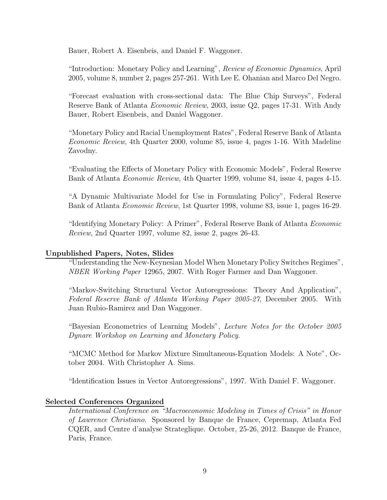Bauer, Robert A. Eisenbeis, and Daniel F. Waggoner.

"Introduction: Monetary Policy and Learning", Review of Economic Dynamics, April 2005, volume 8, number 2, pages 257-261. With Lee E. Ohanian and Marco Del Negro.

"Forecast evaluation with cross-sectional data: The Blue Chip Surveys", Federal Reserve Bank of Atlanta Economic Review, 2003, issue Q2, pages 17-31. With Andy Bauer, Robert Eisenbeis, and Daniel Waggoner.

"Monetary Policy and Racial Unemployment Rates", Federal Reserve Bank of Atlanta Economic Review, 4th Quarter 2000, volume 85, issue 4, pages 1-16. With Madeline Zavodny.

"Evaluating the Effects of Monetary Policy with Economic Models", Federal Reserve Bank of Atlanta Economic Review, 4th Quarter 1999, volume 84, issue 4, pages 4-15.

"A Dynamic Multivariate Model for Use in Formulating Policy", Federal Reserve Bank of Atlanta Economic Review, 1st Quarter 1998, volume 83, issue 1, pages 16-29.

"Identifying Monetary Policy: A Primer", Federal Reserve Bank of Atlanta Economic Review, 2nd Quarter 1997, volume 82, issue 2, pages 26-43.

## Unpublished Papers, Notes, Slides

"Understanding the New-Keynesian Model When Monetary Policy Switches Regimes", NBER Working Paper 12965, 2007. With Roger Farmer and Dan Waggoner.

"Markov-Switching Structural Vector Autoregressions: Theory And Application", Federal Reserve Bank of Atlanta Working Paper 2005-27, December 2005. With Juan Rubio-Ramirez and Dan Waggoner.

"Bayesian Econometrics of Learning Models", Lecture Notes for the October 2005 Dynare Workshop on Learning and Monetary Policy.

"MCMC Method for Markov Mixture Simultaneous-Equation Models: A Note", October 2004. With Christopher A. Sims.

"Identification Issues in Vector Autoregressions", 1997. With Daniel F. Waggoner.

## Selected Conferences Organized

International Conference on "Macroeconomic Modeling in Times of Crisis" in Honor of Lawrence Christiano. Sponsored by Banque de France, Cepremap, Atlanta Fed CQER, and Centre d'analyse Strateglique. October, 25-26, 2012. Banque de France, Paris, France.